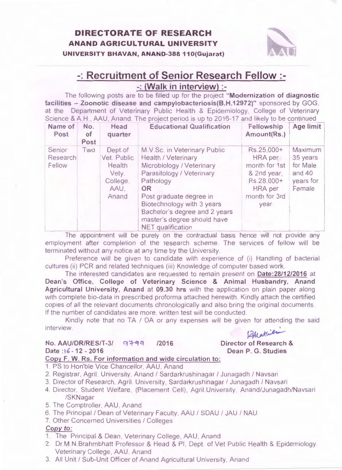

# -: **Recruitment of Senior Research Fellow** :-

-: **(Walk in interview)** :-

The following posts are to be filled up for the project **"Modernization of diagnostic facilities - Zoonotic disease and campylobacteriosis(B.H.12972)"** sponsored by GOG, at the Department of Veterinary Public Health & Epidemiology, College of Veterinary Science & A.H., AAU, Anand. The project period is up to 2016-17 and likely to be continued

| Name of<br>Post              | No.<br>of<br>Post | Head<br>quarter                                                        | <b>Educational Qualification</b>                                                                                                                                                                                                                                                                    | Fellowship<br>Amount(Rs.)                                                                                      | Age limit                                                        |
|------------------------------|-------------------|------------------------------------------------------------------------|-----------------------------------------------------------------------------------------------------------------------------------------------------------------------------------------------------------------------------------------------------------------------------------------------------|----------------------------------------------------------------------------------------------------------------|------------------------------------------------------------------|
| Senior<br>Research<br>Fellow | Two               | Dept.of<br>Vet. Public<br>Health<br>Vety.<br>College,<br>AAU.<br>Anand | M.V.Sc. in Veterinary Public<br><b>Health / Veterinary</b><br>Microbiology / Veterinary<br>Parasitology / Veterinary<br>Pathology<br><b>OR</b><br>Post graduate degree in<br>Biotechnology with 3 years<br>Bachelor's degree and 2 years<br>master's degree should have<br><b>NET</b> qualification | Rs.25,000+<br>HRA per<br>month for 1st<br>& 2nd year,<br>Rs.28,000+<br><b>HRA</b> per<br>month for 3rd<br>year | Maximum<br>35 years<br>for Male<br>and 40<br>years for<br>Female |

The appointment will be purely on the contractual basis hence will not provide any employment after completion of the research scheme. The services of fellow will be terminated without any notice at any time by the University

Preference will be given to candidate with experience of (i) Handling of bacterial cultures (ii) PCR and related techniques (iii) Knowledge of computer based work.

The interested candidates are requested to remain present on **Date :28/12/2016** at **Dean's Office, College of Veterinary Science & Animal Husbandry, Anand Agricultural University, Anand at 09.30 hrs** with the application on plain paper along with complete bio-data in prescribed proforma attached herewith. Kindly attach the certified copies of all the relevant documents chronologically and also bring the original documents. If the number of candidates are more, written test will be conducted.

Kindly note that no TA / DA or any expenses will be given for attending the said interview. Richard Communication de la Communication de la Communication de la Communication de la Communication de la Communication de la Communication de la Communication de la Communication de la Communication de la Com

### **No. AAU/DR/RES/T-3/ 97-99 Date :16 - 12 - 2016 /2016**

**Director of Research** & **Dean P. G. Studies** 

### **Copy F. W. Rs. For information and wide circulation to :**

- 1. PS to Hon'ble Vice Chancellor, AAU, Anand
- 2. Registrar, Agril. University, Anand / Sardarkrushinagar / Junagadh / Navsari
- 3. Director of Research, Agril. University, Sardarkrushinagar / Junagadh / Navsari
- 4. Director, Student Welfare, (Placement Cell), Agril. University, Anand/Junagadh/Navsari /SKNagar
- 5. The Comptroller, AAU , Anand
- 6. The Principal / Dean of Veterinary Faculty, AAU / SDAU / JAU / NAU
- 7. Other Concerned Universities / Colleges

### Copy to:

- 1. The Principal & Dean, Veterinary College, AAU, Anand
- 2. Dr.M.N.Brahmbhatt Professor & Head & PI, Dept. of Vet Public Health & Epidemiology. Veterinary College, AAU, Anand
- 3. All Unit / Sub-Unit Officer of Anand Agricultural University, Anand